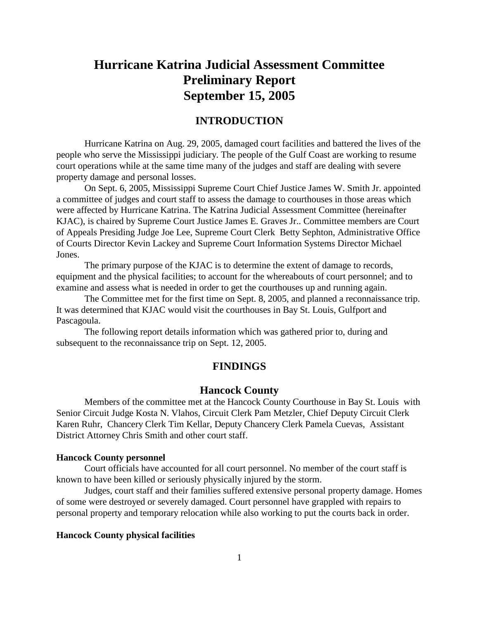## **Hurricane Katrina Judicial Assessment Committee Preliminary Report September 15, 2005**

## **INTRODUCTION**

Hurricane Katrina on Aug. 29, 2005, damaged court facilities and battered the lives of the people who serve the Mississippi judiciary. The people of the Gulf Coast are working to resume court operations while at the same time many of the judges and staff are dealing with severe property damage and personal losses.

On Sept. 6, 2005, Mississippi Supreme Court Chief Justice James W. Smith Jr. appointed a committee of judges and court staff to assess the damage to courthouses in those areas which were affected by Hurricane Katrina. The Katrina Judicial Assessment Committee (hereinafter KJAC), is chaired by Supreme Court Justice James E. Graves Jr.. Committee members are Court of Appeals Presiding Judge Joe Lee, Supreme Court Clerk Betty Sephton, Administrative Office of Courts Director Kevin Lackey and Supreme Court Information Systems Director Michael Jones.

The primary purpose of the KJAC is to determine the extent of damage to records, equipment and the physical facilities; to account for the whereabouts of court personnel; and to examine and assess what is needed in order to get the courthouses up and running again.

The Committee met for the first time on Sept. 8, 2005, and planned a reconnaissance trip. It was determined that KJAC would visit the courthouses in Bay St. Louis, Gulfport and Pascagoula.

The following report details information which was gathered prior to, during and subsequent to the reconnaissance trip on Sept. 12, 2005.

## **FINDINGS**

#### **Hancock County**

Members of the committee met at the Hancock County Courthouse in Bay St. Louis with Senior Circuit Judge Kosta N. Vlahos, Circuit Clerk Pam Metzler, Chief Deputy Circuit Clerk Karen Ruhr, Chancery Clerk Tim Kellar, Deputy Chancery Clerk Pamela Cuevas, Assistant District Attorney Chris Smith and other court staff.

#### **Hancock County personnel**

Court officials have accounted for all court personnel. No member of the court staff is known to have been killed or seriously physically injured by the storm.

Judges, court staff and their families suffered extensive personal property damage. Homes of some were destroyed or severely damaged. Court personnel have grappled with repairs to personal property and temporary relocation while also working to put the courts back in order.

#### **Hancock County physical facilities**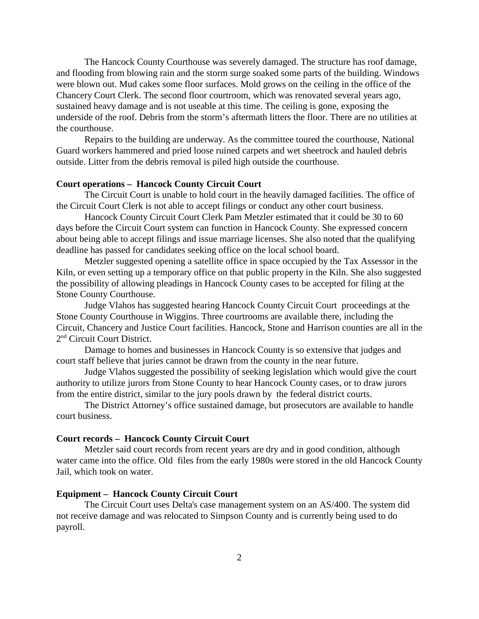The Hancock County Courthouse was severely damaged. The structure has roof damage, and flooding from blowing rain and the storm surge soaked some parts of the building. Windows were blown out. Mud cakes some floor surfaces. Mold grows on the ceiling in the office of the Chancery Court Clerk. The second floor courtroom, which was renovated several years ago, sustained heavy damage and is not useable at this time. The ceiling is gone, exposing the underside of the roof. Debris from the storm's aftermath litters the floor. There are no utilities at the courthouse.

Repairs to the building are underway. As the committee toured the courthouse, National Guard workers hammered and pried loose ruined carpets and wet sheetrock and hauled debris outside. Litter from the debris removal is piled high outside the courthouse.

#### **Court operations – Hancock County Circuit Court**

The Circuit Court is unable to hold court in the heavily damaged facilities. The office of the Circuit Court Clerk is not able to accept filings or conduct any other court business.

Hancock County Circuit Court Clerk Pam Metzler estimated that it could be 30 to 60 days before the Circuit Court system can function in Hancock County. She expressed concern about being able to accept filings and issue marriage licenses. She also noted that the qualifying deadline has passed for candidates seeking office on the local school board.

Metzler suggested opening a satellite office in space occupied by the Tax Assessor in the Kiln, or even setting up a temporary office on that public property in the Kiln. She also suggested the possibility of allowing pleadings in Hancock County cases to be accepted for filing at the Stone County Courthouse.

Judge Vlahos has suggested hearing Hancock County Circuit Court proceedings at the Stone County Courthouse in Wiggins. Three courtrooms are available there, including the Circuit, Chancery and Justice Court facilities. Hancock, Stone and Harrison counties are all in the 2nd Circuit Court District.

Damage to homes and businesses in Hancock County is so extensive that judges and court staff believe that juries cannot be drawn from the county in the near future.

Judge Vlahos suggested the possibility of seeking legislation which would give the court authority to utilize jurors from Stone County to hear Hancock County cases, or to draw jurors from the entire district, similar to the jury pools drawn by the federal district courts.

The District Attorney's office sustained damage, but prosecutors are available to handle court business.

#### **Court records – Hancock County Circuit Court**

Metzler said court records from recent years are dry and in good condition, although water came into the office. Old files from the early 1980s were stored in the old Hancock County Jail, which took on water.

#### **Equipment – Hancock County Circuit Court**

The Circuit Court uses Delta's case management system on an AS/400. The system did not receive damage and was relocated to Simpson County and is currently being used to do payroll.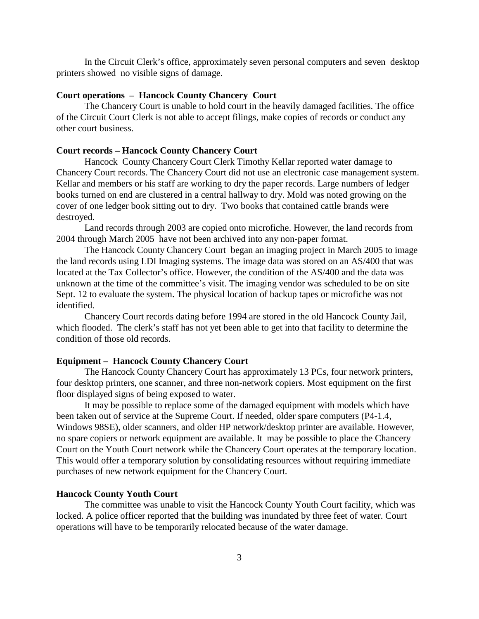In the Circuit Clerk's office, approximately seven personal computers and seven desktop printers showed no visible signs of damage.

#### **Court operations – Hancock County Chancery Court**

The Chancery Court is unable to hold court in the heavily damaged facilities. The office of the Circuit Court Clerk is not able to accept filings, make copies of records or conduct any other court business.

#### **Court records – Hancock County Chancery Court**

Hancock County Chancery Court Clerk Timothy Kellar reported water damage to Chancery Court records. The Chancery Court did not use an electronic case management system. Kellar and members or his staff are working to dry the paper records. Large numbers of ledger books turned on end are clustered in a central hallway to dry. Mold was noted growing on the cover of one ledger book sitting out to dry. Two books that contained cattle brands were destroyed.

Land records through 2003 are copied onto microfiche. However, the land records from 2004 through March 2005 have not been archived into any non-paper format.

The Hancock County Chancery Court began an imaging project in March 2005 to image the land records using LDI Imaging systems. The image data was stored on an AS/400 that was located at the Tax Collector's office. However, the condition of the AS/400 and the data was unknown at the time of the committee's visit. The imaging vendor was scheduled to be on site Sept. 12 to evaluate the system. The physical location of backup tapes or microfiche was not identified.

Chancery Court records dating before 1994 are stored in the old Hancock County Jail, which flooded. The clerk's staff has not yet been able to get into that facility to determine the condition of those old records.

#### **Equipment – Hancock County Chancery Court**

The Hancock County Chancery Court has approximately 13 PCs, four network printers, four desktop printers, one scanner, and three non-network copiers. Most equipment on the first floor displayed signs of being exposed to water.

It may be possible to replace some of the damaged equipment with models which have been taken out of service at the Supreme Court. If needed, older spare computers (P4-1.4, Windows 98SE), older scanners, and older HP network/desktop printer are available. However, no spare copiers or network equipment are available. It may be possible to place the Chancery Court on the Youth Court network while the Chancery Court operates at the temporary location. This would offer a temporary solution by consolidating resources without requiring immediate purchases of new network equipment for the Chancery Court.

#### **Hancock County Youth Court**

The committee was unable to visit the Hancock County Youth Court facility, which was locked. A police officer reported that the building was inundated by three feet of water. Court operations will have to be temporarily relocated because of the water damage.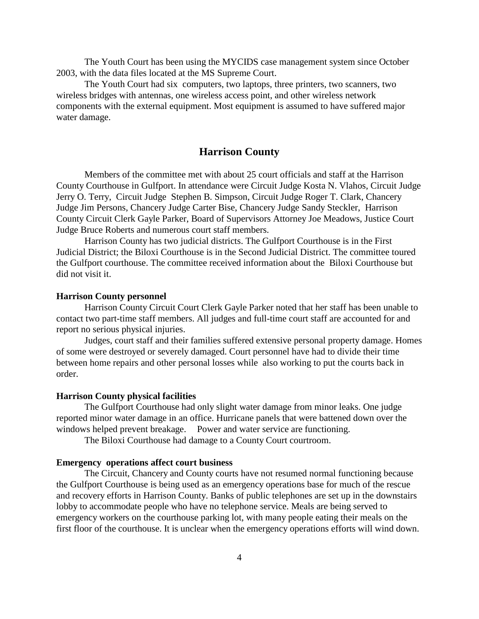The Youth Court has been using the MYCIDS case management system since October 2003, with the data files located at the MS Supreme Court.

The Youth Court had six computers, two laptops, three printers, two scanners, two wireless bridges with antennas, one wireless access point, and other wireless network components with the external equipment. Most equipment is assumed to have suffered major water damage.

## **Harrison County**

Members of the committee met with about 25 court officials and staff at the Harrison County Courthouse in Gulfport. In attendance were Circuit Judge Kosta N. Vlahos, Circuit Judge Jerry O. Terry, Circuit Judge Stephen B. Simpson, Circuit Judge Roger T. Clark, Chancery Judge Jim Persons, Chancery Judge Carter Bise, Chancery Judge Sandy Steckler, Harrison County Circuit Clerk Gayle Parker, Board of Supervisors Attorney Joe Meadows, Justice Court Judge Bruce Roberts and numerous court staff members.

Harrison County has two judicial districts. The Gulfport Courthouse is in the First Judicial District; the Biloxi Courthouse is in the Second Judicial District. The committee toured the Gulfport courthouse. The committee received information about the Biloxi Courthouse but did not visit it.

#### **Harrison County personnel**

Harrison County Circuit Court Clerk Gayle Parker noted that her staff has been unable to contact two part-time staff members. All judges and full-time court staff are accounted for and report no serious physical injuries.

Judges, court staff and their families suffered extensive personal property damage. Homes of some were destroyed or severely damaged. Court personnel have had to divide their time between home repairs and other personal losses while also working to put the courts back in order.

#### **Harrison County physical facilities**

The Gulfport Courthouse had only slight water damage from minor leaks. One judge reported minor water damage in an office. Hurricane panels that were battened down over the windows helped prevent breakage. Power and water service are functioning.

The Biloxi Courthouse had damage to a County Court courtroom.

#### **Emergency operations affect court business**

The Circuit, Chancery and County courts have not resumed normal functioning because the Gulfport Courthouse is being used as an emergency operations base for much of the rescue and recovery efforts in Harrison County. Banks of public telephones are set up in the downstairs lobby to accommodate people who have no telephone service. Meals are being served to emergency workers on the courthouse parking lot, with many people eating their meals on the first floor of the courthouse. It is unclear when the emergency operations efforts will wind down.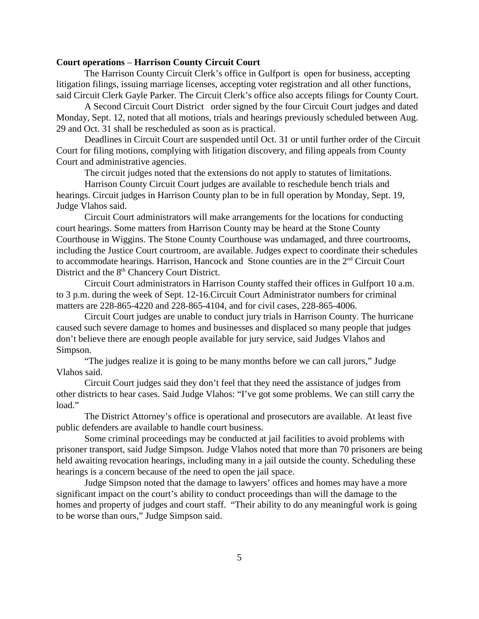#### **Court operations** – **Harrison County Circuit Court**

The Harrison County Circuit Clerk's office in Gulfport is open for business, accepting litigation filings, issuing marriage licenses, accepting voter registration and all other functions, said Circuit Clerk Gayle Parker. The Circuit Clerk's office also accepts filings for County Court.

A Second Circuit Court District order signed by the four Circuit Court judges and dated Monday, Sept. 12, noted that all motions, trials and hearings previously scheduled between Aug. 29 and Oct. 31 shall be rescheduled as soon as is practical.

Deadlines in Circuit Court are suspended until Oct. 31 or until further order of the Circuit Court for filing motions, complying with litigation discovery, and filing appeals from County Court and administrative agencies.

The circuit judges noted that the extensions do not apply to statutes of limitations.

Harrison County Circuit Court judges are available to reschedule bench trials and hearings. Circuit judges in Harrison County plan to be in full operation by Monday, Sept. 19, Judge Vlahos said.

Circuit Court administrators will make arrangements for the locations for conducting court hearings. Some matters from Harrison County may be heard at the Stone County Courthouse in Wiggins. The Stone County Courthouse was undamaged, and three courtrooms, including the Justice Court courtroom, are available. Judges expect to coordinate their schedules to accommodate hearings. Harrison, Hancock and Stone counties are in the 2<sup>nd</sup> Circuit Court District and the 8<sup>th</sup> Chancery Court District.

Circuit Court administrators in Harrison County staffed their offices in Gulfport 10 a.m. to 3 p.m. during the week of Sept. 12-16.Circuit Court Administrator numbers for criminal matters are 228-865-4220 and 228-865-4104, and for civil cases, 228-865-4006.

Circuit Court judges are unable to conduct jury trials in Harrison County. The hurricane caused such severe damage to homes and businesses and displaced so many people that judges don't believe there are enough people available for jury service, said Judges Vlahos and Simpson.

"The judges realize it is going to be many months before we can call jurors," Judge Vlahos said.

Circuit Court judges said they don't feel that they need the assistance of judges from other districts to hear cases. Said Judge Vlahos: "I've got some problems. We can still carry the load."

The District Attorney's office is operational and prosecutors are available. At least five public defenders are available to handle court business.

Some criminal proceedings may be conducted at jail facilities to avoid problems with prisoner transport, said Judge Simpson. Judge Vlahos noted that more than 70 prisoners are being held awaiting revocation hearings, including many in a jail outside the county. Scheduling these hearings is a concern because of the need to open the jail space.

Judge Simpson noted that the damage to lawyers' offices and homes may have a more significant impact on the court's ability to conduct proceedings than will the damage to the homes and property of judges and court staff. "Their ability to do any meaningful work is going to be worse than ours," Judge Simpson said.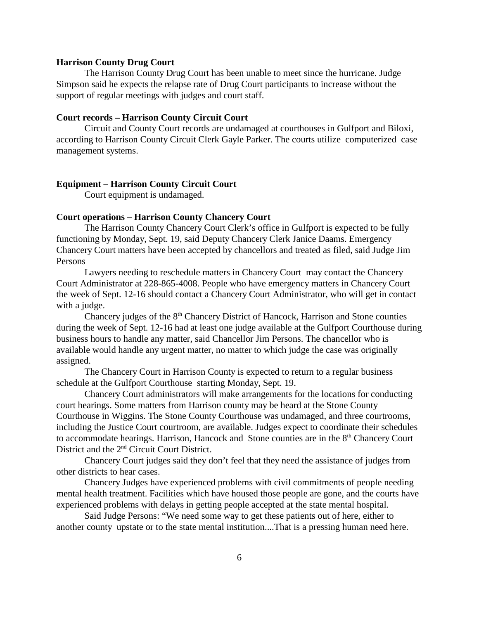#### **Harrison County Drug Court**

The Harrison County Drug Court has been unable to meet since the hurricane. Judge Simpson said he expects the relapse rate of Drug Court participants to increase without the support of regular meetings with judges and court staff.

#### **Court records – Harrison County Circuit Court**

Circuit and County Court records are undamaged at courthouses in Gulfport and Biloxi, according to Harrison County Circuit Clerk Gayle Parker. The courts utilize computerized case management systems.

#### **Equipment – Harrison County Circuit Court**

Court equipment is undamaged.

#### **Court operations – Harrison County Chancery Court**

The Harrison County Chancery Court Clerk's office in Gulfport is expected to be fully functioning by Monday, Sept. 19, said Deputy Chancery Clerk Janice Daams. Emergency Chancery Court matters have been accepted by chancellors and treated as filed, said Judge Jim Persons

Lawyers needing to reschedule matters in Chancery Court may contact the Chancery Court Administrator at 228-865-4008. People who have emergency matters in Chancery Court the week of Sept. 12-16 should contact a Chancery Court Administrator, who will get in contact with a judge.

Chancery judges of the  $8<sup>th</sup>$  Chancery District of Hancock, Harrison and Stone counties during the week of Sept. 12-16 had at least one judge available at the Gulfport Courthouse during business hours to handle any matter, said Chancellor Jim Persons. The chancellor who is available would handle any urgent matter, no matter to which judge the case was originally assigned.

The Chancery Court in Harrison County is expected to return to a regular business schedule at the Gulfport Courthouse starting Monday, Sept. 19.

Chancery Court administrators will make arrangements for the locations for conducting court hearings. Some matters from Harrison county may be heard at the Stone County Courthouse in Wiggins. The Stone County Courthouse was undamaged, and three courtrooms, including the Justice Court courtroom, are available. Judges expect to coordinate their schedules to accommodate hearings. Harrison, Hancock and Stone counties are in the 8<sup>th</sup> Chancery Court District and the 2nd Circuit Court District.

Chancery Court judges said they don't feel that they need the assistance of judges from other districts to hear cases.

Chancery Judges have experienced problems with civil commitments of people needing mental health treatment. Facilities which have housed those people are gone, and the courts have experienced problems with delays in getting people accepted at the state mental hospital.

Said Judge Persons: "We need some way to get these patients out of here, either to another county upstate or to the state mental institution....That is a pressing human need here.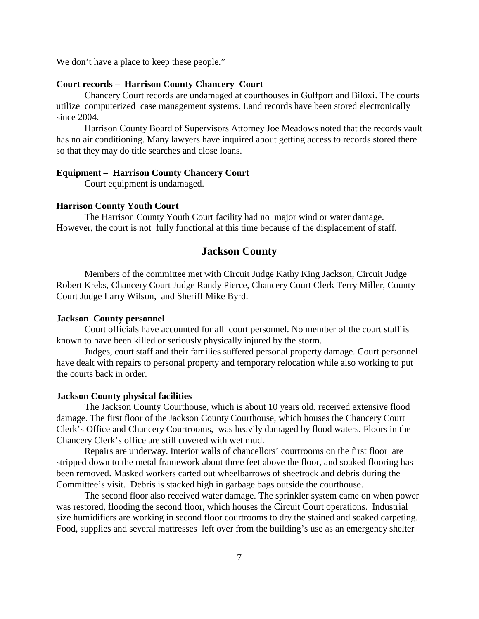We don't have a place to keep these people."

### **Court records – Harrison County Chancery Court**

Chancery Court records are undamaged at courthouses in Gulfport and Biloxi. The courts utilize computerized case management systems. Land records have been stored electronically since 2004.

Harrison County Board of Supervisors Attorney Joe Meadows noted that the records vault has no air conditioning. Many lawyers have inquired about getting access to records stored there so that they may do title searches and close loans.

#### **Equipment – Harrison County Chancery Court**

Court equipment is undamaged.

#### **Harrison County Youth Court**

The Harrison County Youth Court facility had no major wind or water damage. However, the court is not fully functional at this time because of the displacement of staff.

#### **Jackson County**

Members of the committee met with Circuit Judge Kathy King Jackson, Circuit Judge Robert Krebs, Chancery Court Judge Randy Pierce, Chancery Court Clerk Terry Miller, County Court Judge Larry Wilson, and Sheriff Mike Byrd.

#### **Jackson County personnel**

Court officials have accounted for all court personnel. No member of the court staff is known to have been killed or seriously physically injured by the storm.

Judges, court staff and their families suffered personal property damage. Court personnel have dealt with repairs to personal property and temporary relocation while also working to put the courts back in order.

#### **Jackson County physical facilities**

The Jackson County Courthouse, which is about 10 years old, received extensive flood damage. The first floor of the Jackson County Courthouse, which houses the Chancery Court Clerk's Office and Chancery Courtrooms, was heavily damaged by flood waters. Floors in the Chancery Clerk's office are still covered with wet mud.

Repairs are underway. Interior walls of chancellors' courtrooms on the first floor are stripped down to the metal framework about three feet above the floor, and soaked flooring has been removed. Masked workers carted out wheelbarrows of sheetrock and debris during the Committee's visit. Debris is stacked high in garbage bags outside the courthouse.

The second floor also received water damage. The sprinkler system came on when power was restored, flooding the second floor, which houses the Circuit Court operations. Industrial size humidifiers are working in second floor courtrooms to dry the stained and soaked carpeting. Food, supplies and several mattresses left over from the building's use as an emergency shelter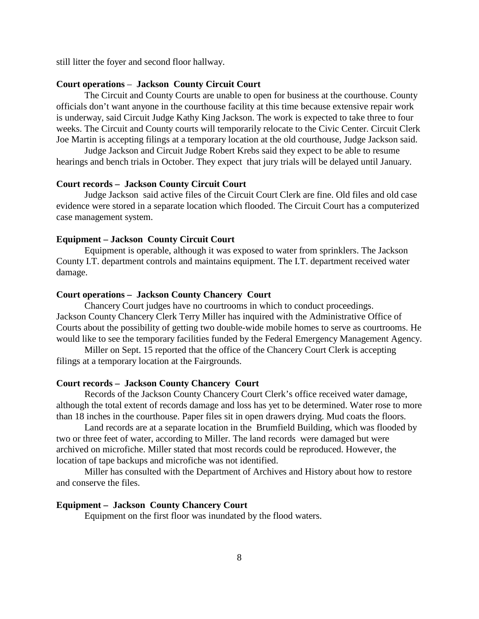still litter the foyer and second floor hallway.

#### **Court operations** – **Jackson County Circuit Court**

The Circuit and County Courts are unable to open for business at the courthouse. County officials don't want anyone in the courthouse facility at this time because extensive repair work is underway, said Circuit Judge Kathy King Jackson. The work is expected to take three to four weeks. The Circuit and County courts will temporarily relocate to the Civic Center. Circuit Clerk Joe Martin is accepting filings at a temporary location at the old courthouse, Judge Jackson said.

Judge Jackson and Circuit Judge Robert Krebs said they expect to be able to resume hearings and bench trials in October. They expect that jury trials will be delayed until January.

#### **Court records – Jackson County Circuit Court**

Judge Jackson said active files of the Circuit Court Clerk are fine. Old files and old case evidence were stored in a separate location which flooded. The Circuit Court has a computerized case management system.

#### **Equipment – Jackson County Circuit Court**

Equipment is operable, although it was exposed to water from sprinklers. The Jackson County I.T. department controls and maintains equipment. The I.T. department received water damage.

#### **Court operations – Jackson County Chancery Court**

Chancery Court judges have no courtrooms in which to conduct proceedings. Jackson County Chancery Clerk Terry Miller has inquired with the Administrative Office of Courts about the possibility of getting two double-wide mobile homes to serve as courtrooms. He would like to see the temporary facilities funded by the Federal Emergency Management Agency.

Miller on Sept. 15 reported that the office of the Chancery Court Clerk is accepting filings at a temporary location at the Fairgrounds.

#### **Court records – Jackson County Chancery Court**

Records of the Jackson County Chancery Court Clerk's office received water damage, although the total extent of records damage and loss has yet to be determined. Water rose to more than 18 inches in the courthouse. Paper files sit in open drawers drying. Mud coats the floors.

Land records are at a separate location in the Brumfield Building, which was flooded by two or three feet of water, according to Miller. The land records were damaged but were archived on microfiche. Miller stated that most records could be reproduced. However, the location of tape backups and microfiche was not identified.

Miller has consulted with the Department of Archives and History about how to restore and conserve the files.

#### **Equipment – Jackson County Chancery Court**

Equipment on the first floor was inundated by the flood waters.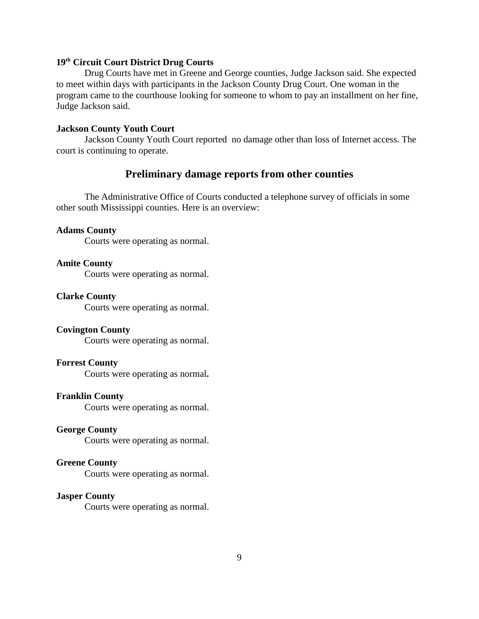#### **19th Circuit Court District Drug Courts**

Drug Courts have met in Greene and George counties, Judge Jackson said. She expected to meet within days with participants in the Jackson County Drug Court. One woman in the program came to the courthouse looking for someone to whom to pay an installment on her fine, Judge Jackson said.

#### **Jackson County Youth Court**

Jackson County Youth Court reported no damage other than loss of Internet access. The court is continuing to operate.

## **Preliminary damage reports from other counties**

The Administrative Office of Courts conducted a telephone survey of officials in some other south Mississippi counties. Here is an overview:

#### **Adams County**

Courts were operating as normal.

#### **Amite County**

Courts were operating as normal.

#### **Clarke County**

Courts were operating as normal.

#### **Covington County**

Courts were operating as normal.

#### **Forrest County**

Courts were operating as normal**.** 

#### **Franklin County**

Courts were operating as normal.

#### **George County**

Courts were operating as normal.

#### **Greene County**

Courts were operating as normal.

#### **Jasper County**

Courts were operating as normal.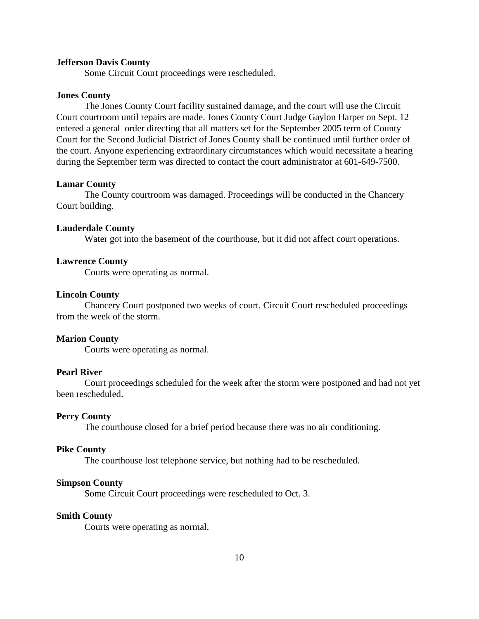#### **Jefferson Davis County**

Some Circuit Court proceedings were rescheduled.

#### **Jones County**

The Jones County Court facility sustained damage, and the court will use the Circuit Court courtroom until repairs are made. Jones County Court Judge Gaylon Harper on Sept. 12 entered a general order directing that all matters set for the September 2005 term of County Court for the Second Judicial District of Jones County shall be continued until further order of the court. Anyone experiencing extraordinary circumstances which would necessitate a hearing during the September term was directed to contact the court administrator at 601-649-7500.

#### **Lamar County**

The County courtroom was damaged. Proceedings will be conducted in the Chancery Court building.

#### **Lauderdale County**

Water got into the basement of the courthouse, but it did not affect court operations.

#### **Lawrence County**

Courts were operating as normal.

#### **Lincoln County**

Chancery Court postponed two weeks of court. Circuit Court rescheduled proceedings from the week of the storm.

#### **Marion County**

Courts were operating as normal.

#### **Pearl River**

Court proceedings scheduled for the week after the storm were postponed and had not yet been rescheduled.

#### **Perry County**

The courthouse closed for a brief period because there was no air conditioning.

#### **Pike County**

The courthouse lost telephone service, but nothing had to be rescheduled.

#### **Simpson County**

Some Circuit Court proceedings were rescheduled to Oct. 3.

#### **Smith County**

Courts were operating as normal.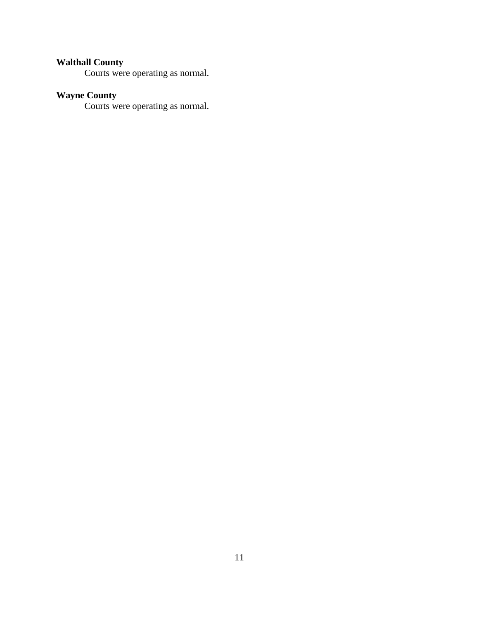#### **Walthall County**

Courts were operating as normal.

#### **Wayne County**

Courts were operating as normal.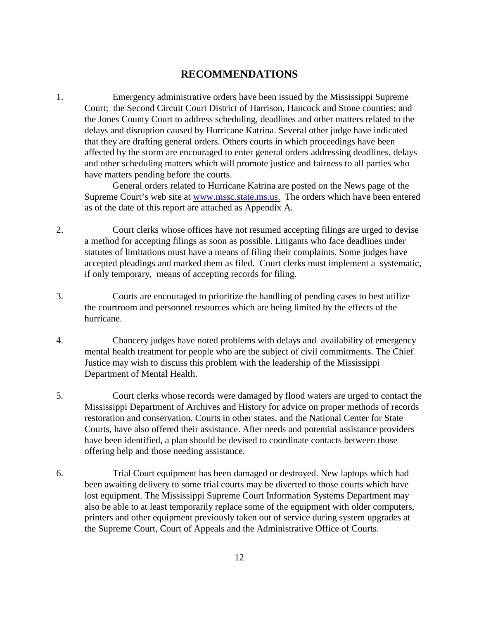## **RECOMMENDATIONS**

1. Emergency administrative orders have been issued by the Mississippi Supreme Court; the Second Circuit Court District of Harrison, Hancock and Stone counties; and the Jones County Court to address scheduling, deadlines and other matters related to the delays and disruption caused by Hurricane Katrina. Several other judge have indicated that they are drafting general orders. Others courts in which proceedings have been affected by the storm are encouraged to enter general orders addressing deadlines, delays and other scheduling matters which will promote justice and fairness to all parties who have matters pending before the courts.

General orders related to Hurricane Katrina are posted on the News page of the Supreme Court's web site at [www.mssc.state.ms.us.](http://www.mssc.state.ms.us.) The orders which have been entered as of the date of this report are attached as Appendix A.

- 2. Court clerks whose offices have not resumed accepting filings are urged to devise a method for accepting filings as soon as possible. Litigants who face deadlines under statutes of limitations must have a means of filing their complaints. Some judges have accepted pleadings and marked them as filed. Court clerks must implement a systematic, if only temporary, means of accepting records for filing.
- 3. Courts are encouraged to prioritize the handling of pending cases to best utilize the courtroom and personnel resources which are being limited by the effects of the hurricane.
- 4. Chancery judges have noted problems with delays and availability of emergency mental health treatment for people who are the subject of civil commitments. The Chief Justice may wish to discuss this problem with the leadership of the Mississippi Department of Mental Health.
- 5. Court clerks whose records were damaged by flood waters are urged to contact the Mississippi Department of Archives and History for advice on proper methods of records restoration and conservation. Courts in other states, and the National Center for State Courts, have also offered their assistance. After needs and potential assistance providers have been identified, a plan should be devised to coordinate contacts between those offering help and those needing assistance.
- 6. Trial Court equipment has been damaged or destroyed. New laptops which had been awaiting delivery to some trial courts may be diverted to those courts which have lost equipment. The Mississippi Supreme Court Information Systems Department may also be able to at least temporarily replace some of the equipment with older computers, printers and other equipment previously taken out of service during system upgrades at the Supreme Court, Court of Appeals and the Administrative Office of Courts.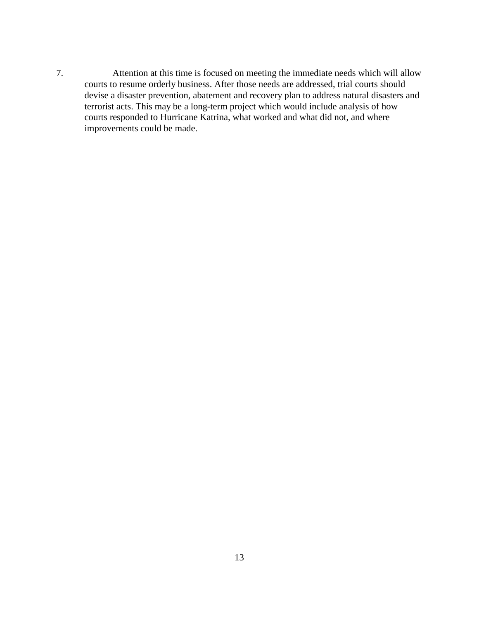7. Attention at this time is focused on meeting the immediate needs which will allow courts to resume orderly business. After those needs are addressed, trial courts should devise a disaster prevention, abatement and recovery plan to address natural disasters and terrorist acts. This may be a long-term project which would include analysis of how courts responded to Hurricane Katrina, what worked and what did not, and where improvements could be made.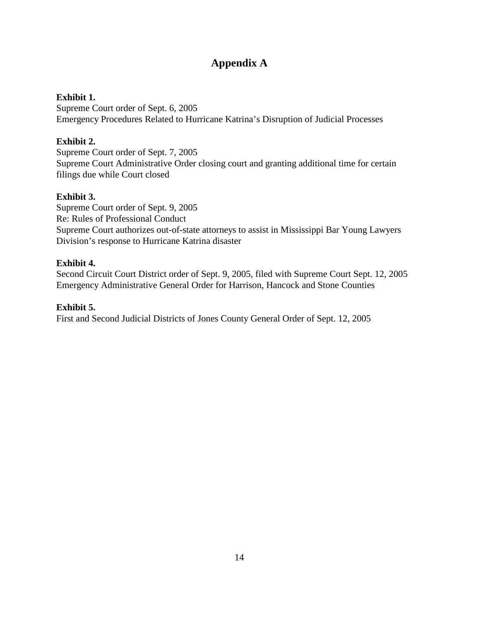## **Appendix A**

## **Exhibit 1.**

Supreme Court order of Sept. 6, 2005 Emergency Procedures Related to Hurricane Katrina's Disruption of Judicial Processes

## **Exhibit 2.**

Supreme Court order of Sept. 7, 2005 Supreme Court Administrative Order closing court and granting additional time for certain filings due while Court closed

## **Exhibit 3.**

Supreme Court order of Sept. 9, 2005 Re: Rules of Professional Conduct Supreme Court authorizes out-of-state attorneys to assist in Mississippi Bar Young Lawyers Division's response to Hurricane Katrina disaster

## **Exhibit 4.**

Second Circuit Court District order of Sept. 9, 2005, filed with Supreme Court Sept. 12, 2005 Emergency Administrative General Order for Harrison, Hancock and Stone Counties

## **Exhibit 5.**

First and Second Judicial Districts of Jones County General Order of Sept. 12, 2005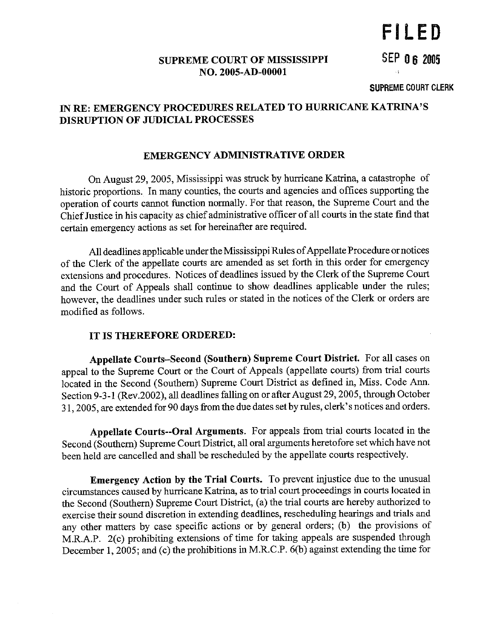# FILED

**SEP 06 2005** 

## **SUPREME COURT OF MISSISSIPPI** NO. 2005-AD-00001

#### **SUPREME COURT CLERK**

## IN RE: EMERGENCY PROCEDURES RELATED TO HURRICANE KATRINA'S **DISRUPTION OF JUDICIAL PROCESSES**

## **EMERGENCY ADMINISTRATIVE ORDER**

On August 29, 2005, Mississippi was struck by hurricane Katrina, a catastrophe of historic proportions. In many counties, the courts and agencies and offices supporting the operation of courts cannot function normally. For that reason, the Supreme Court and the Chief Justice in his capacity as chief administrative officer of all courts in the state find that certain emergency actions as set for hereinafter are required.

All deadlines applicable under the Mississippi Rules of Appellate Procedure or notices of the Clerk of the appellate courts are amended as set forth in this order for emergency extensions and procedures. Notices of deadlines issued by the Clerk of the Supreme Court and the Court of Appeals shall continue to show deadlines applicable under the rules; however, the deadlines under such rules or stated in the notices of the Clerk or orders are modified as follows.

## IT IS THEREFORE ORDERED:

Appellate Courts-Second (Southern) Supreme Court District. For all cases on appeal to the Supreme Court or the Court of Appeals (appellate courts) from trial courts located in the Second (Southern) Supreme Court District as defined in, Miss. Code Ann. Section 9-3-1 (Rev.2002), all deadlines falling on or after August 29, 2005, through October 31, 2005, are extended for 90 days from the due dates set by rules, clerk's notices and orders.

Appellate Courts--Oral Arguments. For appeals from trial courts located in the Second (Southern) Supreme Court District, all oral arguments heretofore set which have not been held are cancelled and shall be rescheduled by the appellate courts respectively.

**Emergency Action by the Trial Courts.** To prevent injustice due to the unusual circumstances caused by hurricane Katrina, as to trial court proceedings in courts located in the Second (Southern) Supreme Court District, (a) the trial courts are hereby authorized to exercise their sound discretion in extending deadlines, rescheduling hearings and trials and any other matters by case specific actions or by general orders; (b) the provisions of M.R.A.P. 2(c) prohibiting extensions of time for taking appeals are suspended through December 1, 2005; and (c) the prohibitions in M.R.C.P. 6(b) against extending the time for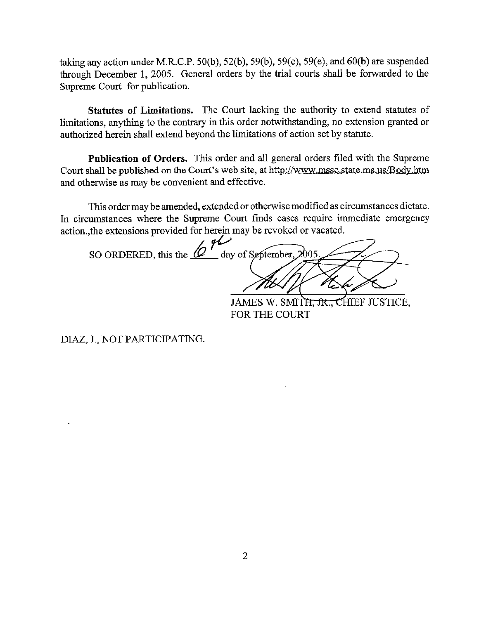taking any action under M.R.C.P. 50(b), 52(b), 59(b), 59(c), 59(e), and 60(b) are suspended through December 1, 2005. General orders by the trial courts shall be forwarded to the Supreme Court for publication.

Statutes of Limitations. The Court lacking the authority to extend statutes of limitations, anything to the contrary in this order notwithstanding, no extension granted or authorized herein shall extend beyond the limitations of action set by statute.

Publication of Orders. This order and all general orders filed with the Supreme Court shall be published on the Court's web site, at http://www.mssc.state.ms.us/Body.htm and otherwise as may be convenient and effective.

This order may be amended, extended or otherwise modified as circumstances dictate. In circumstances where the Supreme Court finds cases require immediate emergency action., the extensions provided for herein may be revoked or vacated.

SO ORDERED, this the  $64$  day of September, 2005 JAMES W. SMITH, JR., CHIEF JUSTICE,

FOR THE COURT

DIAZ, J., NOT PARTICIPATING.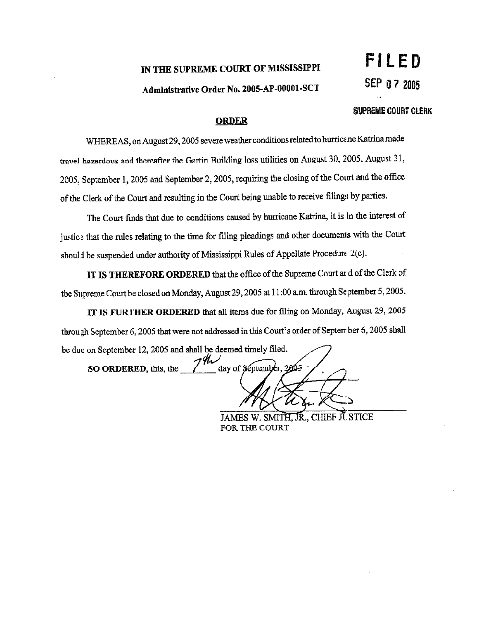## IN THE SUPREME COURT OF MISSISSIPPI

## Administrative Order No. 2005-AP-00001-SCT

#### SUPREME COURT CLERK

#### **ORDER**

WHEREAS, on August 29, 2005 severe weather conditions related to hurricane Katrina made travel hazardous and thereafter the Gartin Building loss utilities on August 30, 2005, August 31, 2005, September 1, 2005 and September 2, 2005, requiring the closing of the Court and the office of the Clerk of the Court and resulting in the Court being unable to receive filings by parties.

The Court finds that due to conditions caused by hurricane Katrina, it is in the interest of justice that the rules relating to the time for filing pleadings and other documents with the Court should be suspended under authority of Mississippi Rules of Appellate Procedure 2(c).

IT IS THEREFORE ORDERED that the office of the Supreme Court ar d of the Clerk of the Supreme Court be closed on Monday, August 29, 2005 at 11:00 a.m. through September 5, 2005.

IT IS FURTHER ORDERED that all items due for filing on Monday, August 29, 2005 through September 6, 2005 that were not addressed in this Court's order of September 6, 2005 shall be due on September 12, 2005 and shall be deemed timely filed.

 $7^{\circ}$ day of September, 2005 SO ORDERED, this, the

JAMES W. SMITH, JR., CHIEF JUSTICE FOR THE COURT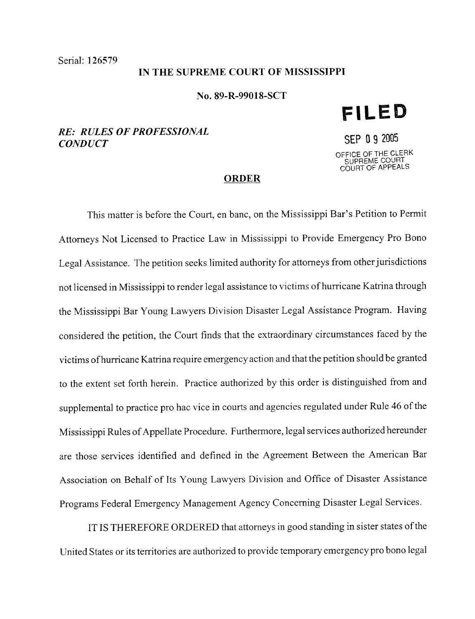**CONDUCT** 

#### IN THE SUPREME COURT OF MISSISSIPPI

#### No. 89-R-99018-SCT

# **RE: RULES OF PROFESSIONAL**

# SEP 0 9 2005

**FILED** 

OFFICE OF THE CLERK<br>SUPREME COURT<br>COURT OF APPEALS

#### **ORDER**

This matter is before the Court, en banc, on the Mississippi Bar's Petition to Permit Attorneys Not Licensed to Practice Law in Mississippi to Provide Emergency Pro Bono Legal Assistance. The petition seeks limited authority for attorneys from other jurisdictions not licensed in Mississippi to render legal assistance to victims of hurricane Katrina through the Mississippi Bar Young Lawyers Division Disaster Legal Assistance Program. Having considered the petition, the Court finds that the extraordinary circumstances faced by the victims of hurricane Katrina require emergency action and that the petition should be granted to the extent set forth herein. Practice authorized by this order is distinguished from and supplemental to practice pro hac vice in courts and agencies regulated under Rule 46 of the Mississippi Rules of Appellate Procedure. Furthermore, legal services authorized hereunder are those services identified and defined in the Agreement Between the American Bar Association on Behalf of Its Young Lawyers Division and Office of Disaster Assistance Programs Federal Emergency Management Agency Concerning Disaster Legal Services.

IT IS THEREFORE ORDERED that attorneys in good standing in sister states of the United States or its territories are authorized to provide temporary emergency pro bono legal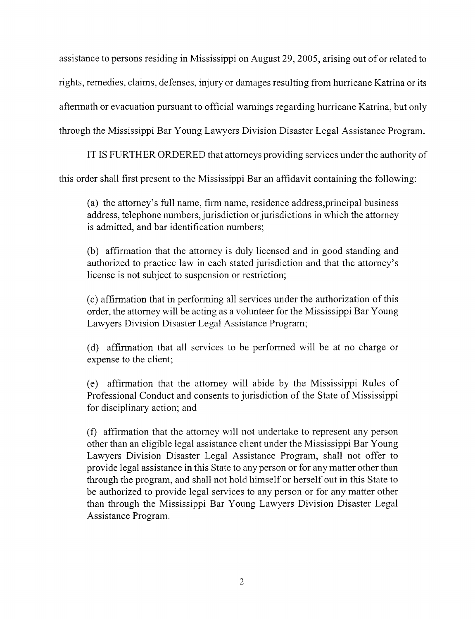assistance to persons residing in Mississippi on August 29, 2005, arising out of or related to rights, remedies, claims, defenses, injury or damages resulting from hurricane Katrina or its aftermath or evacuation pursuant to official warnings regarding hurricane Katrina, but only through the Mississippi Bar Young Lawyers Division Disaster Legal Assistance Program.

IT IS FURTHER ORDERED that attorneys providing services under the authority of

this order shall first present to the Mississippi Bar an affidavit containing the following:

(a) the attorney's full name, firm name, residence address, principal business address, telephone numbers, jurisdiction or jurisdictions in which the attorney is admitted, and bar identification numbers;

(b) affirmation that the attorney is duly licensed and in good standing and authorized to practice law in each stated jurisdiction and that the attorney's license is not subject to suspension or restriction;

(c) affirmation that in performing all services under the authorization of this order, the attorney will be acting as a volunteer for the Mississippi Bar Young Lawyers Division Disaster Legal Assistance Program;

(d) affirmation that all services to be performed will be at no charge or expense to the client;

(e) affirmation that the attorney will abide by the Mississippi Rules of Professional Conduct and consents to jurisdiction of the State of Mississippi for disciplinary action; and

(f) affirmation that the attorney will not undertake to represent any person other than an eligible legal assistance client under the Mississippi Bar Young Lawyers Division Disaster Legal Assistance Program, shall not offer to provide legal assistance in this State to any person or for any matter other than through the program, and shall not hold himself or herself out in this State to be authorized to provide legal services to any person or for any matter other than through the Mississippi Bar Young Lawyers Division Disaster Legal Assistance Program.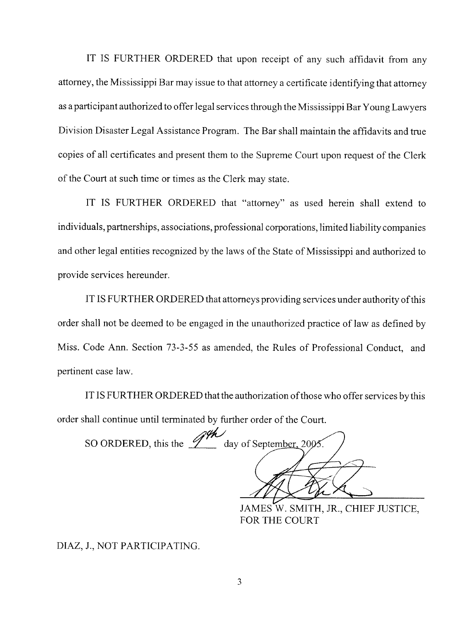IT IS FURTHER ORDERED that upon receipt of any such affidavit from any attorney, the Mississippi Bar may issue to that attorney a certificate identifying that attorney as a participant authorized to offer legal services through the Mississippi Bar Young Lawyers Division Disaster Legal Assistance Program. The Bar shall maintain the affidavits and true copies of all certificates and present them to the Supreme Court upon request of the Clerk of the Court at such time or times as the Clerk may state.

IT IS FURTHER ORDERED that "attorney" as used herein shall extend to individuals, partnerships, associations, professional corporations, limited liability companies and other legal entities recognized by the laws of the State of Mississippi and authorized to provide services hereunder.

IT IS FURTHER ORDERED that attorneys providing services under authority of this order shall not be deemed to be engaged in the unauthorized practice of law as defined by Miss. Code Ann. Section 73-3-55 as amended, the Rules of Professional Conduct, and pertinent case law.

IT IS FURTHER ORDERED that the authorization of those who offer services by this order shall continue until terminated by further order of the Court.

SO ORDERED, this the  $\mathscr{H}$  day of September, 2005.

JAMES W. SMITH, JR., CHIEF JUSTICE, FOR THE COURT

DIAZ, J., NOT PARTICIPATING.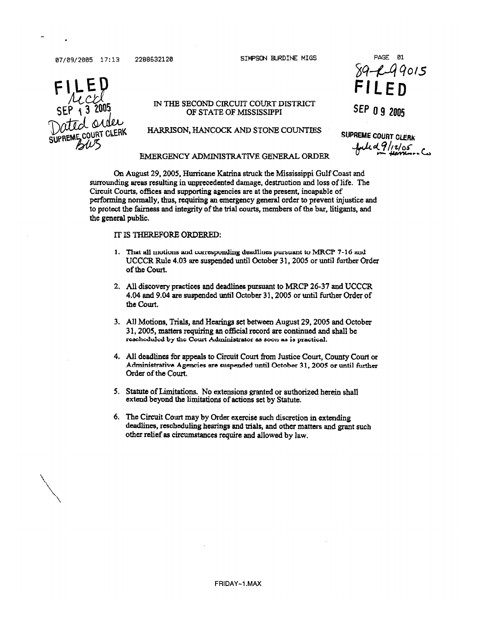07/09/2005 17:13

2288632120

SIMPSON BURDINE MIGS



#### IN THE SECOND CIRCUIT COURT DISTRICT OF STATE OF MISSISSIPPI

HARRISON, HANCOCK AND STONE COUNTIES

PAGE 01  $89 - 49015$ 

SEP 0 9 2005

**SUPREME COURT CLERK**  $4449/12/05$ 

#### EMERGENCY ADMINISTRATIVE GENERAL ORDER

On August 29, 2005, Hurricane Katrina struck the Mississippi Gulf Coast and surrounding areas resulting in unprecedented damage, destruction and loss of life. The Circuit Courts, offices and supporting agencies are at the present, incapable of performing normally, thus, requiring an emergency general order to prevent injustice and to protect the fairness and integrity of the trial courts, members of the bar, litigants, and the general public.

#### IT IS THEREFORE ORDERED:

- 1. That all motions and corresponding deadlines pursuant to MRCP 7-16 and UCCCR Rule 4.03 are suspended until October 31, 2005 or until further Order of the Court.
- 2. All discovery practices and deadlines pursuant to MRCP 26-37 and UCCCR 4.04 and 9.04 are suspended until October 31, 2005 or until further Order of the Court.
- 3. All Motions, Trials, and Hearings set between August 29, 2005 and October 31, 2005, matters requiring an official record are continued and shall be rescheduled by the Court Administrator as soon as is practical.
- 4. All deadlines for appeals to Circuit Court from Justice Court, County Court or Administrative Agencies are suspended until October 31, 2005 or until further Order of the Court.
- 5. Statute of Limitations. No extensions granted or authorized herein shall extend beyond the limitations of actions set by Statute.
- 6. The Circuit Court may by Order exercise such discretion in extending deadlines, rescheduling hearings and trials, and other matters and grant such other relief as circumstances require and allowed by law.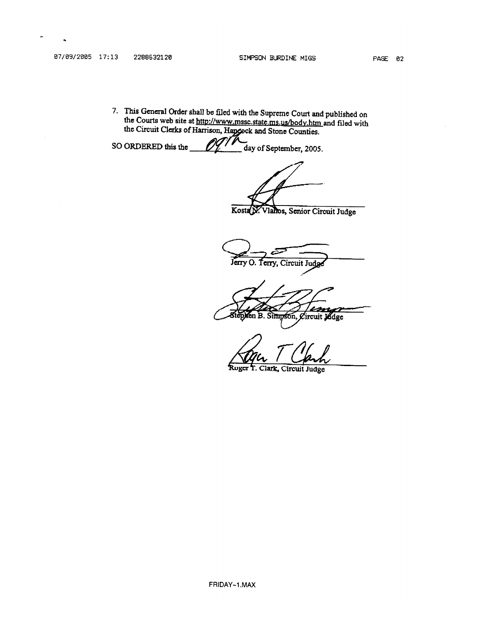7. This General Order shall be filed with the Supreme Court and published on the Courts web site at http://www.mssc.state.ms.us/body.htm and filed with the Circuit Clerks of Harrison, Hapcock and Stone Counties.

SO ORDERED this the day of September, 2005.

Kosta N. Vlahos, Senior Circuit Judge

Jerry O. Terry, Circuit Judg

isn en B. Simpson, Circuit Judge

Roger T. Clark. Circuit Judge